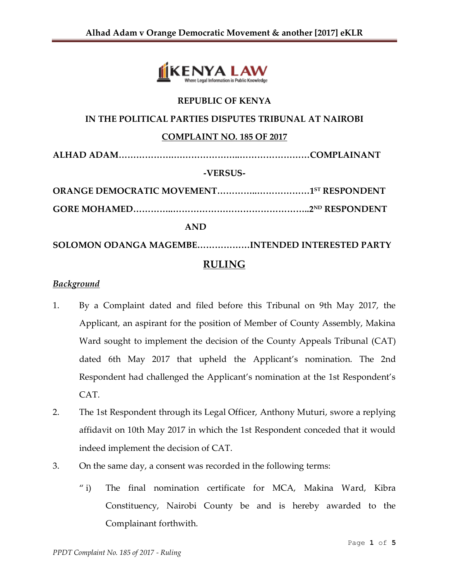

# **REPUBLIC OF KENYA**

#### **IN THE POLITICAL PARTIES DISPUTES TRIBUNAL AT NAIROBI**

## **COMPLAINT NO. 185 OF 2017**

**ALHAD ADAM……………….…………………..……………………COMPLAINANT**

## **-VERSUS-**

**ORANGE DEMOCRATIC MOVEMENT…………..………………1 ST RESPONDENT**

**GORE MOHAMED…………..………………………………………..2ND RESPONDENT** 

#### **AND**

**SOLOMON ODANGA MAGEMBE………………INTENDED INTERESTED PARTY RULING**

#### *Background*

- 1. By a Complaint dated and filed before this Tribunal on 9th May 2017, the Applicant, an aspirant for the position of Member of County Assembly, Makina Ward sought to implement the decision of the County Appeals Tribunal (CAT) dated 6th May 2017 that upheld the Applicant's nomination. The 2nd Respondent had challenged the Applicant's nomination at the 1st Respondent's CAT.
- 2. The 1st Respondent through its Legal Officer, Anthony Muturi, swore a replying affidavit on 10th May 2017 in which the 1st Respondent conceded that it would indeed implement the decision of CAT.
- 3. On the same day, a consent was recorded in the following terms:
	- " i) The final nomination certificate for MCA, Makina Ward, Kibra Constituency, Nairobi County be and is hereby awarded to the Complainant forthwith.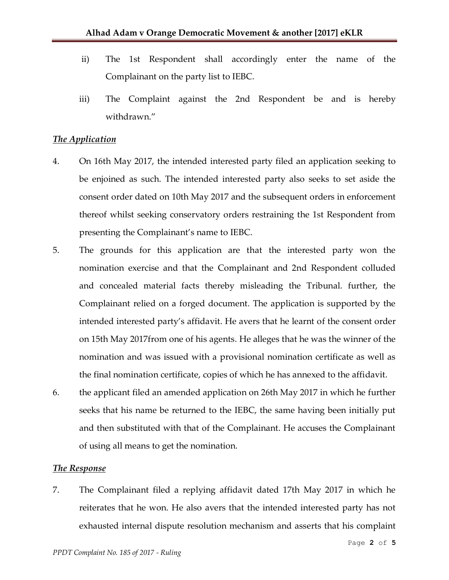- ii) The 1st Respondent shall accordingly enter the name of the Complainant on the party list to IEBC.
- iii) The Complaint against the 2nd Respondent be and is hereby withdrawn."

## *The Application*

- 4. On 16th May 2017, the intended interested party filed an application seeking to be enjoined as such. The intended interested party also seeks to set aside the consent order dated on 10th May 2017 and the subsequent orders in enforcement thereof whilst seeking conservatory orders restraining the 1st Respondent from presenting the Complainant's name to IEBC.
- 5. The grounds for this application are that the interested party won the nomination exercise and that the Complainant and 2nd Respondent colluded and concealed material facts thereby misleading the Tribunal. further, the Complainant relied on a forged document. The application is supported by the intended interested party's affidavit. He avers that he learnt of the consent order on 15th May 2017from one of his agents. He alleges that he was the winner of the nomination and was issued with a provisional nomination certificate as well as the final nomination certificate, copies of which he has annexed to the affidavit.
- 6. the applicant filed an amended application on 26th May 2017 in which he further seeks that his name be returned to the IEBC, the same having been initially put and then substituted with that of the Complainant. He accuses the Complainant of using all means to get the nomination.

#### *The Response*

7. The Complainant filed a replying affidavit dated 17th May 2017 in which he reiterates that he won. He also avers that the intended interested party has not exhausted internal dispute resolution mechanism and asserts that his complaint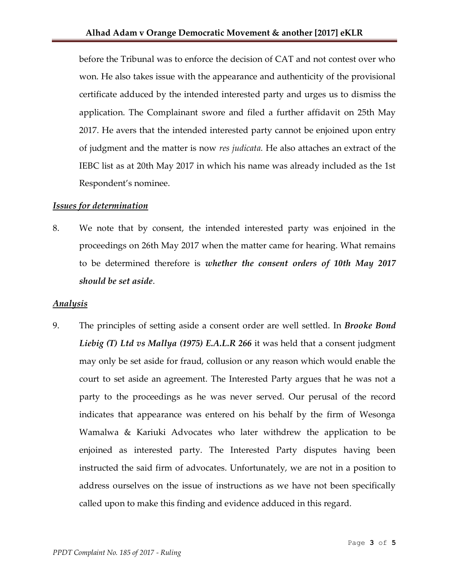before the Tribunal was to enforce the decision of CAT and not contest over who won. He also takes issue with the appearance and authenticity of the provisional certificate adduced by the intended interested party and urges us to dismiss the application. The Complainant swore and filed a further affidavit on 25th May 2017. He avers that the intended interested party cannot be enjoined upon entry of judgment and the matter is now *res judicata.* He also attaches an extract of the IEBC list as at 20th May 2017 in which his name was already included as the 1st Respondent's nominee.

## *Issues for determination*

8. We note that by consent, the intended interested party was enjoined in the proceedings on 26th May 2017 when the matter came for hearing. What remains to be determined therefore is *whether the consent orders of 10th May 2017 should be set aside*.

# *Analysis*

9. The principles of setting aside a consent order are well settled. In *Brooke Bond Liebig (T) Ltd vs Mallya (1975) E.A.L.R 266* it was held that a consent judgment may only be set aside for fraud, collusion or any reason which would enable the court to set aside an agreement. The Interested Party argues that he was not a party to the proceedings as he was never served. Our perusal of the record indicates that appearance was entered on his behalf by the firm of Wesonga Wamalwa & Kariuki Advocates who later withdrew the application to be enjoined as interested party. The Interested Party disputes having been instructed the said firm of advocates. Unfortunately, we are not in a position to address ourselves on the issue of instructions as we have not been specifically called upon to make this finding and evidence adduced in this regard.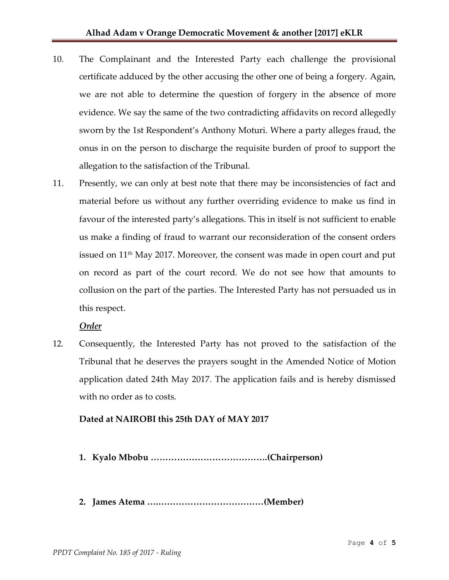- 10. The Complainant and the Interested Party each challenge the provisional certificate adduced by the other accusing the other one of being a forgery. Again, we are not able to determine the question of forgery in the absence of more evidence. We say the same of the two contradicting affidavits on record allegedly sworn by the 1st Respondent's Anthony Moturi. Where a party alleges fraud, the onus in on the person to discharge the requisite burden of proof to support the allegation to the satisfaction of the Tribunal.
- 11. Presently, we can only at best note that there may be inconsistencies of fact and material before us without any further overriding evidence to make us find in favour of the interested party's allegations. This in itself is not sufficient to enable us make a finding of fraud to warrant our reconsideration of the consent orders issued on  $11<sup>th</sup>$  May 2017. Moreover, the consent was made in open court and put on record as part of the court record. We do not see how that amounts to collusion on the part of the parties. The Interested Party has not persuaded us in this respect.

# *Order*

12. Consequently, the Interested Party has not proved to the satisfaction of the Tribunal that he deserves the prayers sought in the Amended Notice of Motion application dated 24th May 2017. The application fails and is hereby dismissed with no order as to costs.

# **Dated at NAIROBI this 25th DAY of MAY 2017**

- **1. Kyalo Mbobu ………………………………….(Chairperson)**
- **2. James Atema ….………………………………(Member)**